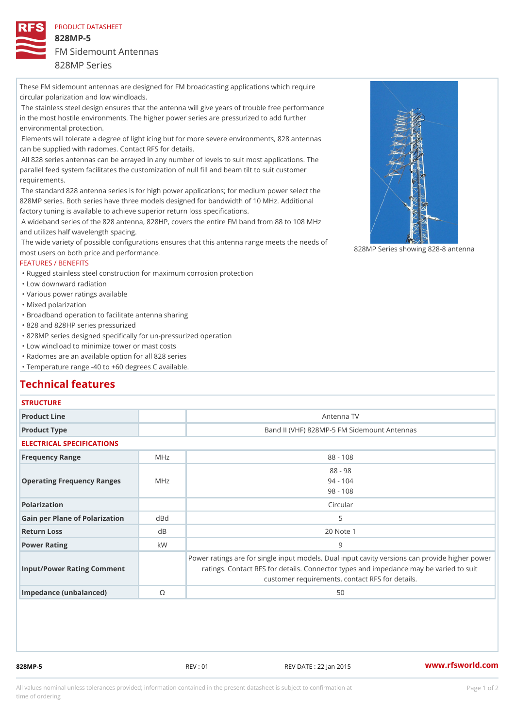#### PRODUCT DATASHEET

828MP-5 FM Sidemount Antennas

## 828MP Series

These FM sidemount antennas are designed for FM broadcasting applications which require circular polarization and low windloads.

 The stainless steel design ensures that the antenna will give years of trouble free performance in the most hostile environments. The higher power series are pressurized to add further environmental protection.

 Elements will tolerate a degree of light icing but for more severe environments, 828 antennas can be supplied with radomes. Contact RFS for details.

 All 828 series antennas can be arrayed in any number of levels to suit most applications. The parallel feed system facilitates the customization of null fill and beam tilt to suit customer requirements.

 The standard 828 antenna series is for high power applications; for medium power select the 828MP series. Both series have three models designed for bandwidth of 10 MHz. Additional factory tuning is available to achieve superior return loss specifications.

 A wideband series of the 828 antenna, 828HP, covers the entire FM band from 88 to 108 MHz and utilizes half wavelength spacing.

The wide variety of possible configurations ensures that this antenna range meets the needs of The wide variety of possible configurations ensures that this antenna range meets the needs of antenna for the system of the sy most users on both price and performance.

### FEATURES / BENEFITS

"Rugged stainless steel construction for maximum corrosion protection

"Low downward radiation

"Various power ratings available

"Mixed polarization

"Broadband operation to facilitate antenna sharing

"828 and 828HP series pressurized

"828MP series designed specifically for un-pressurized operation

"Low windload to minimize tower or mast costs

"Radomes are an available option for all 828 series

"Temperature range -40 to +60 degrees C available.

## Technical features

## **STRUCTURE**

| Product Line                      |          | Antenna TV                                                                                                                                                                               |
|-----------------------------------|----------|------------------------------------------------------------------------------------------------------------------------------------------------------------------------------------------|
| Product Type                      |          | Band II (VHF) 828MP-5 FM Sidemount Antennas                                                                                                                                              |
| ELECTRICAL SPECIFICATIONS         |          |                                                                                                                                                                                          |
| Frequency Range                   | MHz      | $88 - 108$                                                                                                                                                                               |
| Operating Frequency RangeMeHz     |          | $88 - 98$<br>$94 - 104$<br>$98 - 108$                                                                                                                                                    |
| Polarization                      |          | Circular                                                                                                                                                                                 |
| Gain per Plane of Polarizat doBnd |          | 5                                                                                                                                                                                        |
| Return Loss                       | $d \, B$ | 20 Note 1                                                                                                                                                                                |
| Power Rating                      | k W      | 9                                                                                                                                                                                        |
| Input/Power Rating Comment        |          | Power ratings are for single input models. Dual input cavity versid<br>ratings. Contact RFS for details. Connector types and impedant<br>customer requirements, contact RFS for details. |
|                                   |          |                                                                                                                                                                                          |

Impedance (unbalanced) ©  $\qquad \qquad$  50

828MP-5 REV : 01 REV DATE : 22 Jan 2015 [www.](https://www.rfsworld.com)rfsworld.com